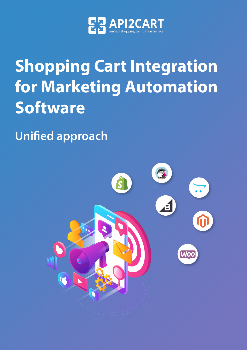

# **Shopping Cart Integration for Marketing Automation Software**

**Unified approach**

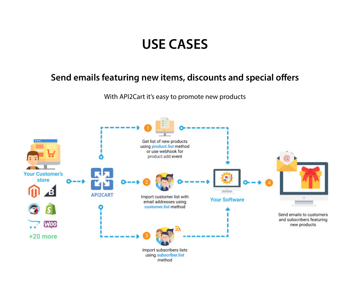## **USE CASES**

## **Send emails featuring new items, discounts and special offers**

With API2Cart it's easy to promote new products

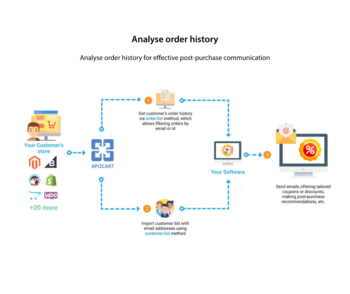## **Analyse order history**

Analyse order history for effective post-purchase communication



customer.list method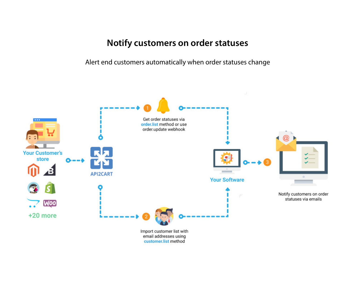## **Notify customers on order statuses**

Alert end customers automatically when order statuses change

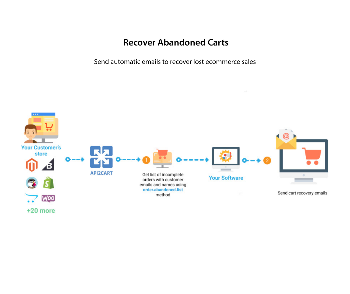## **Recover Abandoned Carts**

Send automatic emails to recover lost ecommerce sales

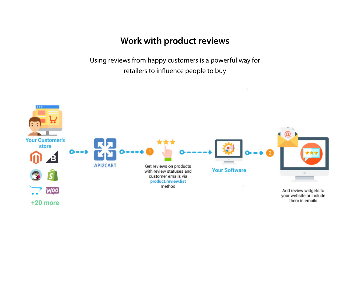## **Work with product reviews**

Using reviews from happy customers is a powerful way for retailers to influence people to buy

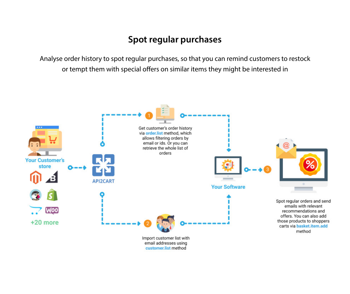## **Spot regular purchases**

Analyse order history to spot regular purchases, so that you can remind customers to restock or tempt them with special offers on similar items they might be interested in

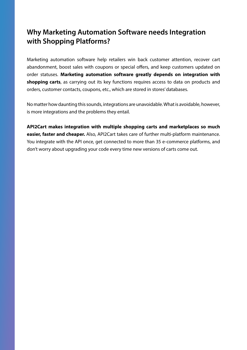## **Why Marketing Automation Software needs Integration with Shopping Platforms?**

Marketing automation software help retailers win back customer attention, recover cart abandonment, boost sales with coupons or special offers, and keep customers updated on order statuses. **Marketing automation software greatly depends on integration with shopping carts**, as carrying out its key functions requires access to data on products and orders, customer contacts, coupons, etc., which are stored in stores' databases.

No matter how daunting this sounds, integrations are unavoidable. What is avoidable, however, is more integrations and the problems they entail.

**API2Cart makes integration with multiple shopping carts and marketplaces so much easier, faster and cheaper.** Also, API2Cart takes care of further multi-platform maintenance. You integrate with the API once, get connected to more than 35 e-commerce platforms, and don't worry about upgrading your code every time new versions of carts come out.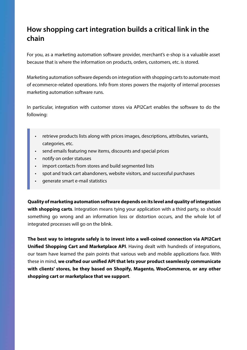## **How shopping cart integration builds a critical link in the chain**

For you, as a marketing automation software provider, merchant's e-shop is a valuable asset because that is where the information on products, orders, customers, etc. is stored.

Marketing automation software depends on integration with shopping carts to automate most of ecommerce-related operations. Info from stores powers the majority of internal processes marketing automation software runs.

In particular, integration with customer stores via API2Cart enables the software to do the following:

- retrieve products lists along with prices images, descriptions, attributes, variants, categories, etc.
- send emails featuring new items, discounts and special prices
- notify on order statuses
- import contacts from stores and build segmented lists
- spot and track cart abandoners, website visitors, and successful purchases
- generate smart e-mail statistics

**Quality of marketing automation software depends on its level and quality of integration with shopping carts**. Integration means tying your application with a third party, so should something go wrong and an information loss or distortion occurs, and the whole lot of integrated processes will go on the blink.

**The best way to integrate safely is to invest into a well-coined connection via API2Cart Unified Shopping Cart and Marketplace API**. Having dealt with hundreds of integrations, our team have learned the pain points that various web and mobile applications face. With these in mind, **we crafted our unified API that lets your product seamlessly communicate with clients' stores, be they based on Shopify, Magento, WooCommerce, or any other shopping cart or marketplace that we support**.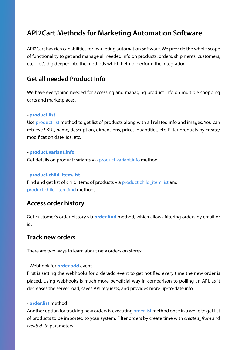## **API2Cart Methods for Marketing Automation Software**

API2Cart has rich capabilities for marketing automation software. We provide the whole scope of functionality to get and manage all needed info on products, orders, shipments, customers, etc. Let's dig deeper into the methods which help to perform the integration.

## **Get all needed Product Info**

We have everything needed for accessing and managing product info on multiple shopping carts and marketplaces.

#### **- [product.list](http://docs.api2cart.com/product-list)**

Use [product.list](http://docs.api2cart.com/product-list) method to get list of products along with all related info and images. You can retrieve SKUs, name, description, dimensions, prices, quantities, etc. Filter products by create/ modification date, ids, etc.

#### **- [product.variant.info](http://docs.api2cart.com/product-variant-info)**

Get details on product variants via [product.variant.info](http://docs.api2cart.com/product-variant-info) method.

#### **- [product.child\\_item.list](http://docs.api2cart.com/product-child_item-list)**

Find and get list of child items of products via [product.child\\_item.list](http://docs.api2cart.com/product-child_item-list) and [product.child\\_item.find](http://docs.api2cart.com/product-child_item-find) methods.

## **Access order history**

Get customer's order history via **[order.find](https://docs.api2cart.com/order-find)** method, which allows filtering orders by email or id.

### **Track new orders**

There are two ways to learn about new orders on stores:

#### **-** Webhook for **order.add** event

First is setting the webhooks for order.add event to get notified every time the new order is placed. Using webhooks is much more beneficial way in comparison to polling an API, as it decreases the server load, saves API requests, and provides more up-to-date info.

#### - **order.list** method

Another option for tracking new orders is executing order. list method once in a while to get list of products to be imported to your system. Filter orders by create time with *created\_from* and *created\_to* parameters.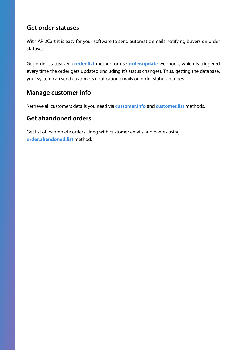## **Get order statuses**

With API2Cart it is easy for your software to send automatic emails notifying buyers on order statuses.

Get order statuses via **[order.list](http://docs.api2cart.com/order-list)** method or use **[order.update](http://docs.api2cart.com/order-update)** webhook, which is triggered every time the order gets updated (including it's status changes). Thus, getting the database, your system can send customers notification emails on order status changes.

## **Manage customer info**

Retrieve all customers details you need via **[customer.info](https://docs.api2cart.com/customer-info)** and **[customer.list](https://docs.api2cart.com/customer-list)** methods.

## **Get abandoned orders**

Get list of incomplete orders along with customer emails and names using **[order.abandoned.list](https://docs.api2cart.com/order-abandoned-list)** method.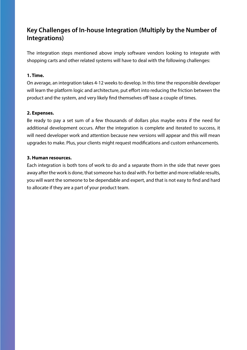## **Key Challenges of In-house Integration (Multiply by the Number of Integrations)**

The integration steps mentioned above imply software vendors looking to integrate with shopping carts and other related systems will have to deal with the following challenges:

#### **1. Time.**

On average, an integration takes 4-12 weeks to develop. In this time the responsible developer will learn the platform logic and architecture, put effort into reducing the friction between the product and the system, and very likely find themselves off base a couple of times.

#### **2. Expenses.**

Be ready to pay a set sum of a few thousands of dollars plus maybe extra if the need for additional development occurs. After the integration is complete and iterated to success, it will need developer work and attention because new versions will appear and this will mean upgrades to make. Plus, your clients might request modifications and custom enhancements.

#### **3. Human resources.**

Each integration is both tons of work to do and a separate thorn in the side that never goes away after the work is done, that someone has to deal with. For better and more reliable results, you will want the someone to be dependable and expert, and that is not easy to find and hard to allocate if they are a part of your product team.